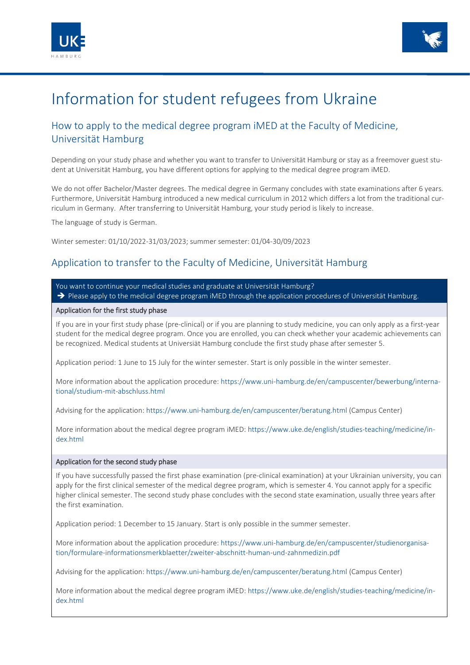



# Information for student refugees from Ukraine

## How to apply to the medical degree program iMED at the Faculty of Medicine, Universität Hamburg

Depending on your study phase and whether you want to transfer to Universität Hamburg or stay as a freemover guest student at Universität Hamburg, you have different options for applying to the medical degree program iMED.

We do not offer Bachelor/Master degrees. The medical degree in Germany concludes with state examinations after 6 years. Furthermore, Universität Hamburg introduced a new medical curriculum in 2012 which differs a lot from the traditional curriculum in Germany. After transferring to Universität Hamburg, your study period is likely to increase.

The language of study is German.

Winter semester: 01/10/2022-31/03/2023; summer semester: 01/04-30/09/2023

## Application to transfer to the Faculty of Medicine, Universität Hamburg

You want to continue your medical studies and graduate at Universität Hamburg? Please apply to the medical degree program iMED through the application procedures of Universität Hamburg.

#### Application for the first study phase

If you are in your first study phase (pre-clinical) or if you are planning to study medicine, you can only apply as a first-year student for the medical degree program. Once you are enrolled, you can check whether your academic achievements can be recognized. Medical students at Universiät Hamburg conclude the first study phase after semester 5.

Application period: 1 June to 15 July for the winter semester. Start is only possible in the winter semester.

More information about the application procedure: [https://www.uni-hamburg.de/en/campuscenter/bewerbung/interna](https://www.uni-hamburg.de/en/campuscenter/bewerbung/international/studium-mit-abschluss.html)[tional/studium-mit-abschluss.html](https://www.uni-hamburg.de/en/campuscenter/bewerbung/international/studium-mit-abschluss.html)

Advising for the application: <https://www.uni-hamburg.de/en/campuscenter/beratung.html> (Campus Center)

More information about the medical degree program iMED: [https://www.uke.de/english/studies-teaching/medicine/in](https://www.uke.de/english/studies-teaching/medicine/index.html)[dex.html](https://www.uke.de/english/studies-teaching/medicine/index.html)

### Application for the second study phase

If you have successfully passed the first phase examination (pre-clinical examination) at your Ukrainian university, you can apply for the first clinical semester of the medical degree program, which is semester 4. You cannot apply for a specific higher clinical semester. The second study phase concludes with the second state examination, usually three years after the first examination.

Application period: 1 December to 15 January. Start is only possible in the summer semester.

More information about the application procedure: [https://www.uni-hamburg.de/en/campuscenter/studienorganisa](https://www.uni-hamburg.de/en/campuscenter/studienorganisation/formulare-informationsmerkblaetter/zweiter-abschnitt-human-und-zahnmedizin.pdf)[tion/formulare-informationsmerkblaetter/zweiter-abschnitt-human-und-zahnmedizin.pdf](https://www.uni-hamburg.de/en/campuscenter/studienorganisation/formulare-informationsmerkblaetter/zweiter-abschnitt-human-und-zahnmedizin.pdf) 

Advising for the application: <https://www.uni-hamburg.de/en/campuscenter/beratung.html>(Campus Center)

More information about the medical degree program iMED: [https://www.uke.de/english/studies-teaching/medicine/in](https://www.uke.de/english/studies-teaching/medicine/index.html)[dex.html](https://www.uke.de/english/studies-teaching/medicine/index.html)